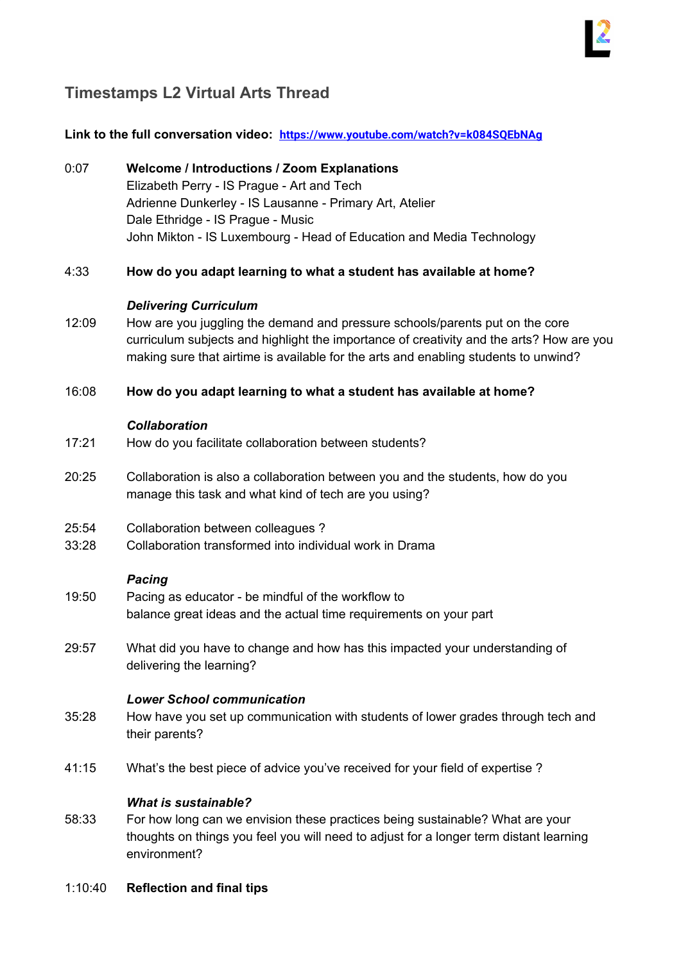## **Timestamps L2 Virtual Arts Thread**

## **Link to the full conversation video: <https://www.youtube.com/watch?v=k084SQEbNAg>**

## 0:07 **Welcome / Introductions / Zoom Explanations** Elizabeth Perry - IS Prague - Art and Tech Adrienne Dunkerley - IS Lausanne - Primary Art, Atelier Dale Ethridge - IS Prague - Music John Mikton - IS Luxembourg - Head of Education and Media Technology 4:33 **How do you adapt learning to what a student has available at home?** *Delivering Curriculum* 12:09 How are you juggling the demand and pressure schools/parents put on the core curriculum subjects and highlight the importance of creativity and the arts? How are you making sure that airtime is available for the arts and enabling students to unwind? 16:08 **How do you adapt learning to what a student has available at home?** *Collaboration* 17:21 How do you facilitate collaboration between students? 20:25 Collaboration is also a collaboration between you and the students, how do you manage this task and what kind of tech are you using? 25:54 Collaboration between colleagues ? 33:28 Collaboration transformed into individual work in Drama *Pacing* 19:50 Pacing as educator - be mindful of the workflow to balance great ideas and the actual time requirements on your part 29:57 What did you have to change and how has this impacted your understanding of delivering the learning? *Lower School communication* 35:28 How have you set up communication with students of lower grades through tech and their parents? 41:15 What's the best piece of advice you've received for your field of expertise ? *What is sustainable?* 58:33 For how long can we envision these practices being sustainable? What are your thoughts on things you feel you will need to adjust for a longer term distant learning environment?

1:10:40 **Reflection and final tips**